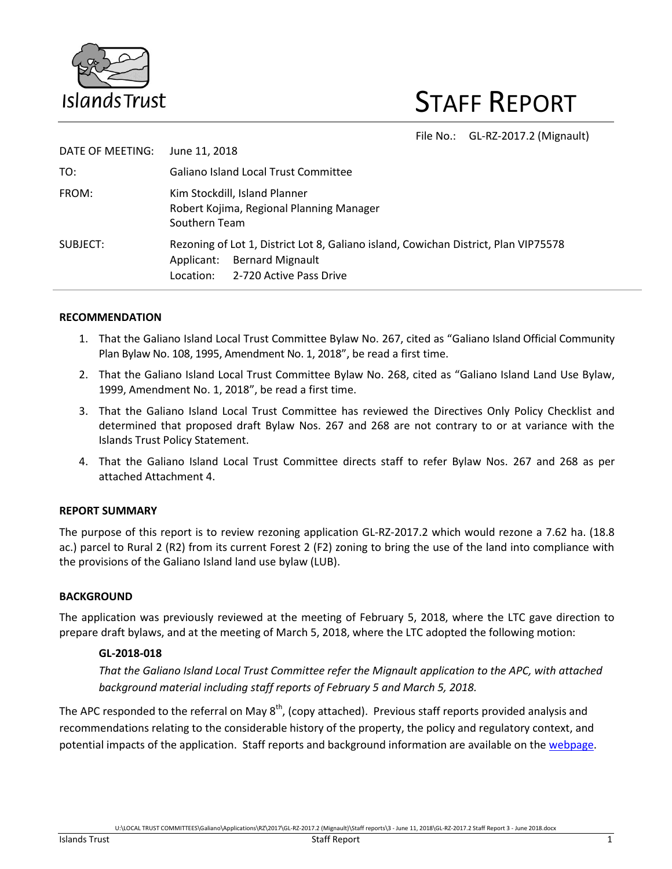

# STAFF REPORT

File No.: GL-RZ-2017.2 (Mignault)

| DATE OF MEETING: | June 11, 2018                                                                                                                                                        |  |  |
|------------------|----------------------------------------------------------------------------------------------------------------------------------------------------------------------|--|--|
| TO:              | <b>Galiano Island Local Trust Committee</b>                                                                                                                          |  |  |
| FROM:            | Kim Stockdill, Island Planner<br>Robert Kojima, Regional Planning Manager<br>Southern Team                                                                           |  |  |
| SUBJECT:         | Rezoning of Lot 1, District Lot 8, Galiano island, Cowichan District, Plan VIP75578<br><b>Bernard Mignault</b><br>Applicant:<br>2-720 Active Pass Drive<br>Location: |  |  |

#### **RECOMMENDATION**

- 1. That the Galiano Island Local Trust Committee Bylaw No. 267, cited as "Galiano Island Official Community Plan Bylaw No. 108, 1995, Amendment No. 1, 2018", be read a first time.
- 2. That the Galiano Island Local Trust Committee Bylaw No. 268, cited as "Galiano Island Land Use Bylaw, 1999, Amendment No. 1, 2018", be read a first time.
- 3. That the Galiano Island Local Trust Committee has reviewed the Directives Only Policy Checklist and determined that proposed draft Bylaw Nos. 267 and 268 are not contrary to or at variance with the Islands Trust Policy Statement.
- 4. That the Galiano Island Local Trust Committee directs staff to refer Bylaw Nos. 267 and 268 as per attached Attachment 4.

## **REPORT SUMMARY**

The purpose of this report is to review rezoning application GL-RZ-2017.2 which would rezone a 7.62 ha. (18.8 ac.) parcel to Rural 2 (R2) from its current Forest 2 (F2) zoning to bring the use of the land into compliance with the provisions of the Galiano Island land use bylaw (LUB).

## **BACKGROUND**

The application was previously reviewed at the meeting of February 5, 2018, where the LTC gave direction to prepare draft bylaws, and at the meeting of March 5, 2018, where the LTC adopted the following motion:

#### **GL-2018-018**

*That the Galiano Island Local Trust Committee refer the Mignault application to the APC, with attached background material including staff reports of February 5 and March 5, 2018.* 

The APC responded to the referral on May  $8<sup>th</sup>$ , (copy attached). Previous staff reports provided analysis and recommendations relating to the considerable history of the property, the policy and regulatory context, and potential impacts of the application. Staff reports and background information are available on the [webpage.](http://www.islandstrust.bc.ca/islands/local-trust-areas/galiano/current-applications/)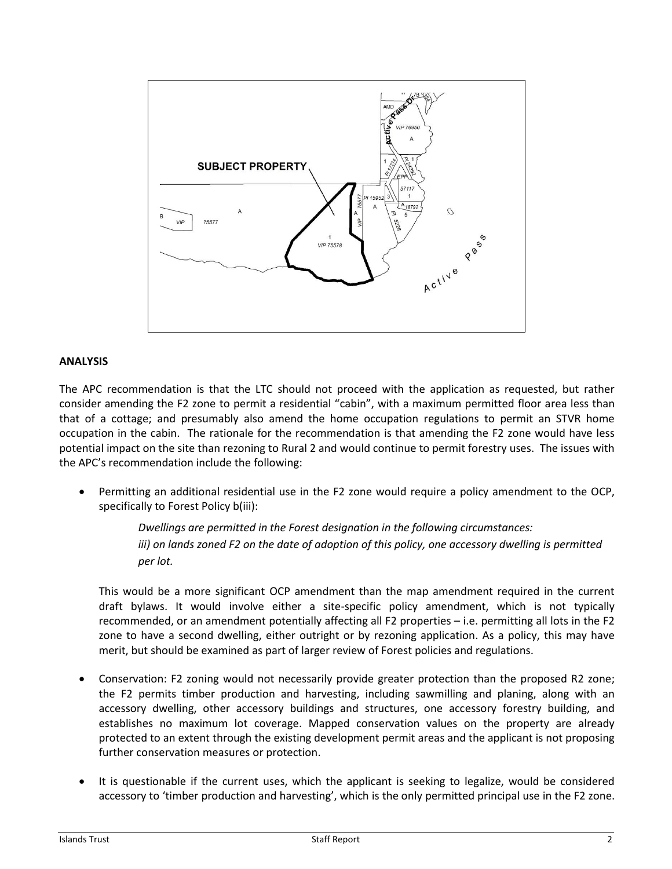

#### **ANALYSIS**

The APC recommendation is that the LTC should not proceed with the application as requested, but rather consider amending the F2 zone to permit a residential "cabin", with a maximum permitted floor area less than that of a cottage; and presumably also amend the home occupation regulations to permit an STVR home occupation in the cabin. The rationale for the recommendation is that amending the F2 zone would have less potential impact on the site than rezoning to Rural 2 and would continue to permit forestry uses. The issues with the APC's recommendation include the following:

 Permitting an additional residential use in the F2 zone would require a policy amendment to the OCP, specifically to Forest Policy b(iii):

> *Dwellings are permitted in the Forest designation in the following circumstances: iii) on lands zoned F2 on the date of adoption of this policy, one accessory dwelling is permitted per lot.*

This would be a more significant OCP amendment than the map amendment required in the current draft bylaws. It would involve either a site-specific policy amendment, which is not typically recommended, or an amendment potentially affecting all F2 properties – i.e. permitting all lots in the F2 zone to have a second dwelling, either outright or by rezoning application. As a policy, this may have merit, but should be examined as part of larger review of Forest policies and regulations.

- Conservation: F2 zoning would not necessarily provide greater protection than the proposed R2 zone; the F2 permits timber production and harvesting, including sawmilling and planing, along with an accessory dwelling, other accessory buildings and structures, one accessory forestry building, and establishes no maximum lot coverage. Mapped conservation values on the property are already protected to an extent through the existing development permit areas and the applicant is not proposing further conservation measures or protection.
- It is questionable if the current uses, which the applicant is seeking to legalize, would be considered accessory to 'timber production and harvesting', which is the only permitted principal use in the F2 zone.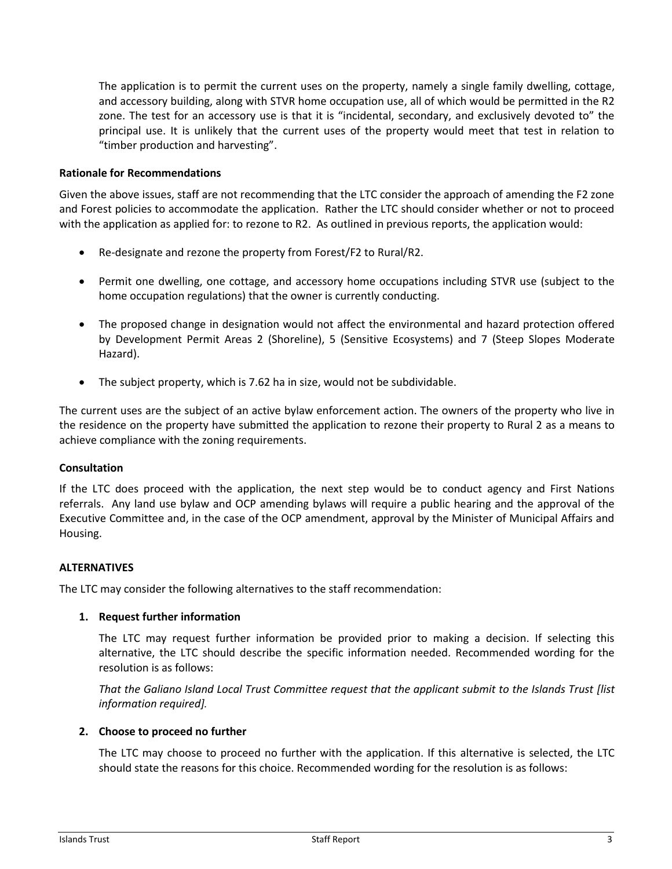The application is to permit the current uses on the property, namely a single family dwelling, cottage, and accessory building, along with STVR home occupation use, all of which would be permitted in the R2 zone. The test for an accessory use is that it is "incidental, secondary, and exclusively devoted to" the principal use. It is unlikely that the current uses of the property would meet that test in relation to "timber production and harvesting".

#### **Rationale for Recommendations**

Given the above issues, staff are not recommending that the LTC consider the approach of amending the F2 zone and Forest policies to accommodate the application. Rather the LTC should consider whether or not to proceed with the application as applied for: to rezone to R2. As outlined in previous reports, the application would:

- Re-designate and rezone the property from Forest/F2 to Rural/R2.
- Permit one dwelling, one cottage, and accessory home occupations including STVR use (subject to the home occupation regulations) that the owner is currently conducting.
- The proposed change in designation would not affect the environmental and hazard protection offered by Development Permit Areas 2 (Shoreline), 5 (Sensitive Ecosystems) and 7 (Steep Slopes Moderate Hazard).
- The subject property, which is 7.62 ha in size, would not be subdividable.

The current uses are the subject of an active bylaw enforcement action. The owners of the property who live in the residence on the property have submitted the application to rezone their property to Rural 2 as a means to achieve compliance with the zoning requirements.

#### **Consultation**

If the LTC does proceed with the application, the next step would be to conduct agency and First Nations referrals. Any land use bylaw and OCP amending bylaws will require a public hearing and the approval of the Executive Committee and, in the case of the OCP amendment, approval by the Minister of Municipal Affairs and Housing.

#### **ALTERNATIVES**

The LTC may consider the following alternatives to the staff recommendation:

#### **1. Request further information**

The LTC may request further information be provided prior to making a decision. If selecting this alternative, the LTC should describe the specific information needed. Recommended wording for the resolution is as follows:

*That the Galiano Island Local Trust Committee request that the applicant submit to the Islands Trust [list information required].*

#### **2. Choose to proceed no further**

The LTC may choose to proceed no further with the application. If this alternative is selected, the LTC should state the reasons for this choice. Recommended wording for the resolution is as follows: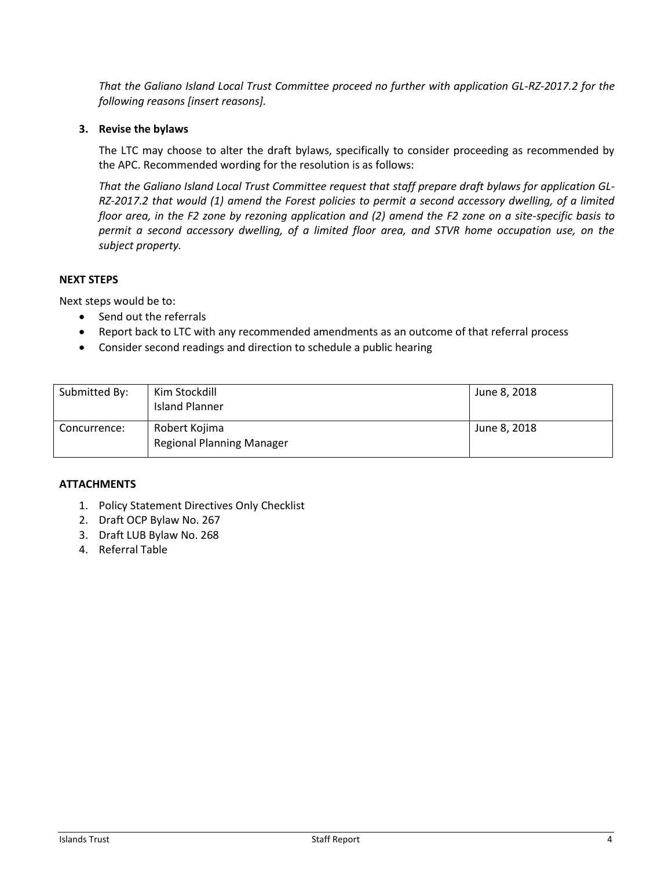*That the Galiano Island Local Trust Committee proceed no further with application GL-RZ-2017.2 for the following reasons [insert reasons].*

#### **3. Revise the bylaws**

The LTC may choose to alter the draft bylaws, specifically to consider proceeding as recommended by the APC. Recommended wording for the resolution is as follows:

*That the Galiano Island Local Trust Committee request that staff prepare draft bylaws for application GL-RZ-2017.2 that would (1) amend the Forest policies to permit a second accessory dwelling, of a limited floor area, in the F2 zone by rezoning application and (2) amend the F2 zone on a site-specific basis to permit a second accessory dwelling, of a limited floor area, and STVR home occupation use, on the subject property.*

#### **NEXT STEPS**

Next steps would be to:

- Send out the referrals
- Report back to LTC with any recommended amendments as an outcome of that referral process
- Consider second readings and direction to schedule a public hearing

| Submitted By: | Kim Stockdill<br><b>Island Planner</b>            | June 8, 2018 |
|---------------|---------------------------------------------------|--------------|
| Concurrence:  | Robert Kojima<br><b>Regional Planning Manager</b> | June 8, 2018 |

#### **ATTACHMENTS**

- 1. Policy Statement Directives Only Checklist
- 2. Draft OCP Bylaw No. 267
- 3. Draft LUB Bylaw No. 268
- 4. Referral Table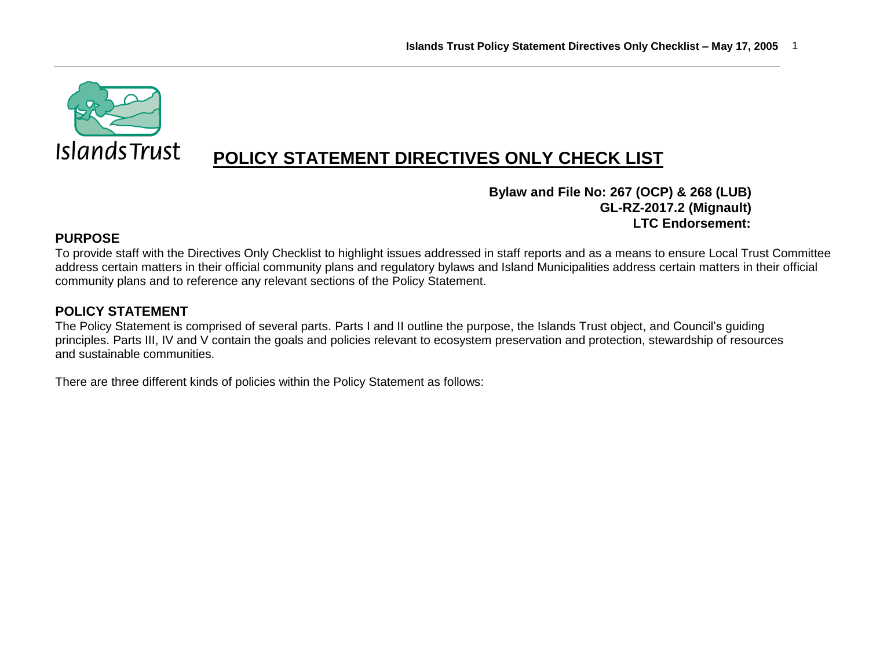

# **POLICY STATEMENT DIRECTIVES ONLY CHECK LIST**

# **Bylaw and File No: 267 (OCP) & 268 (LUB) GL-RZ-2017.2 (Mignault) LTC Endorsement:**

# **PURPOSE**

To provide staff with the Directives Only Checklist to highlight issues addressed in staff reports and as a means to ensure Local Trust Committee address certain matters in their official community plans and regulatory bylaws and Island Municipalities address certain matters in their official community plans and to reference any relevant sections of the Policy Statement.

# **POLICY STATEMENT**

The Policy Statement is comprised of several parts. Parts I and II outline the purpose, the Islands Trust object, and Council's guiding principles. Parts III, IV and V contain the goals and policies relevant to ecosystem preservation and protection, stewardship of resources and sustainable communities.

There are three different kinds of policies within the Policy Statement as follows: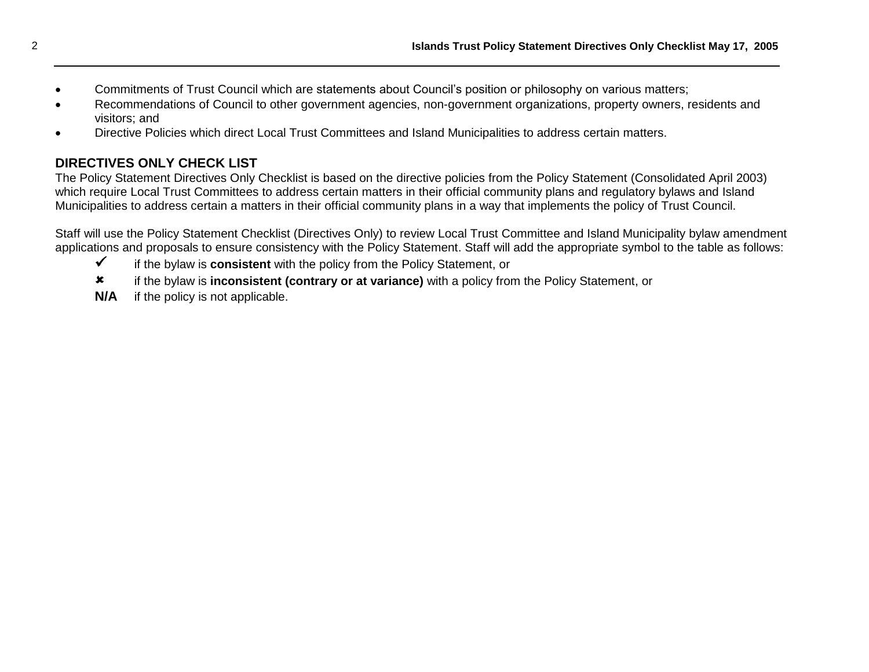- Commitments of Trust Council which are statements about Council's position or philosophy on various matters;
- Recommendations of Council to other government agencies, non-government organizations, property owners, residents and visitors; and
- Directive Policies which direct Local Trust Committees and Island Municipalities to address certain matters.

# **DIRECTIVES ONLY CHECK LIST**

The Policy Statement Directives Only Checklist is based on the directive policies from the Policy Statement (Consolidated April 2003) which require Local Trust Committees to address certain matters in their official community plans and regulatory bylaws and Island Municipalities to address certain a matters in their official community plans in a way that implements the policy of Trust Council.

Staff will use the Policy Statement Checklist (Directives Only) to review Local Trust Committee and Island Municipality bylaw amendment applications and proposals to ensure consistency with the Policy Statement. Staff will add the appropriate symbol to the table as follows:

- if the bylaw is **consistent** with the policy from the Policy Statement, or
- if the bylaw is **inconsistent (contrary or at variance)** with a policy from the Policy Statement, or
- **N/A** if the policy is not applicable.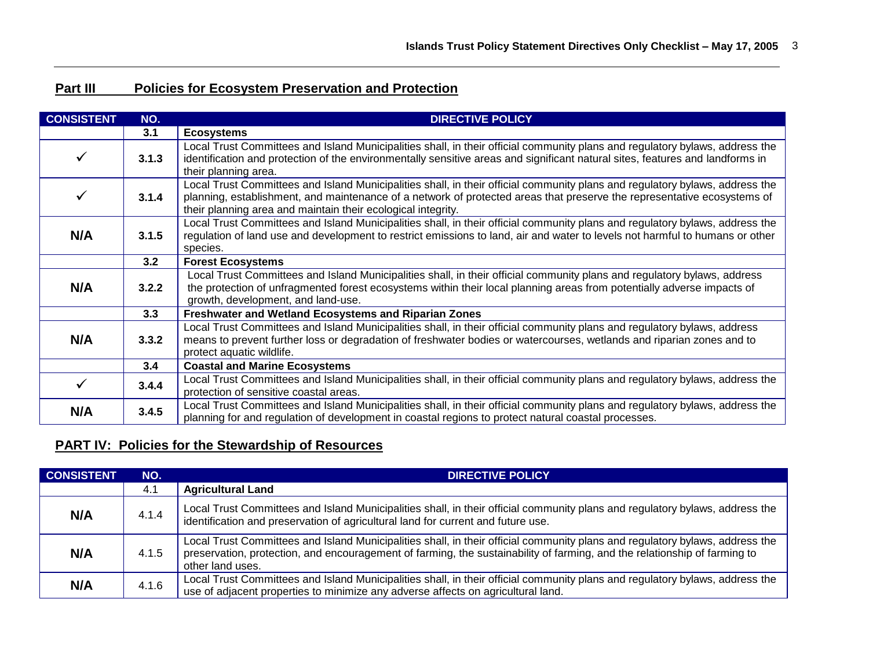# **Part III Policies for Ecosystem Preservation and Protection**

| <b>CONSISTENT</b> | NO.                                                                                                                                                                                                                                                                                               | <b>DIRECTIVE POLICY</b>                                                                                                                                                                                                                                                                                                 |  |  |  |
|-------------------|---------------------------------------------------------------------------------------------------------------------------------------------------------------------------------------------------------------------------------------------------------------------------------------------------|-------------------------------------------------------------------------------------------------------------------------------------------------------------------------------------------------------------------------------------------------------------------------------------------------------------------------|--|--|--|
|                   | 3.1                                                                                                                                                                                                                                                                                               | <b>Ecosystems</b>                                                                                                                                                                                                                                                                                                       |  |  |  |
| ✓                 | 3.1.3                                                                                                                                                                                                                                                                                             | Local Trust Committees and Island Municipalities shall, in their official community plans and regulatory bylaws, address the<br>identification and protection of the environmentally sensitive areas and significant natural sites, features and landforms in<br>their planning area.                                   |  |  |  |
| ✓                 | 3.1.4                                                                                                                                                                                                                                                                                             | Local Trust Committees and Island Municipalities shall, in their official community plans and regulatory bylaws, address the<br>planning, establishment, and maintenance of a network of protected areas that preserve the representative ecosystems of<br>their planning area and maintain their ecological integrity. |  |  |  |
| N/A               | 3.1.5                                                                                                                                                                                                                                                                                             | Local Trust Committees and Island Municipalities shall, in their official community plans and regulatory bylaws, address the<br>regulation of land use and development to restrict emissions to land, air and water to levels not harmful to humans or other<br>species.                                                |  |  |  |
|                   | 3.2                                                                                                                                                                                                                                                                                               | <b>Forest Ecosystems</b>                                                                                                                                                                                                                                                                                                |  |  |  |
| N/A               | Local Trust Committees and Island Municipalities shall, in their official community plans and regulatory bylaws, address<br>the protection of unfragmented forest ecosystems within their local planning areas from potentially adverse impacts of<br>3.2.2<br>growth, development, and land-use. |                                                                                                                                                                                                                                                                                                                         |  |  |  |
|                   | 3.3                                                                                                                                                                                                                                                                                               | <b>Freshwater and Wetland Ecosystems and Riparian Zones</b>                                                                                                                                                                                                                                                             |  |  |  |
| N/A               | Local Trust Committees and Island Municipalities shall, in their official community plans and regulatory bylaws, address<br>3.3.2<br>means to prevent further loss or degradation of freshwater bodies or watercourses, wetlands and riparian zones and to<br>protect aquatic wildlife.           |                                                                                                                                                                                                                                                                                                                         |  |  |  |
|                   | 3.4                                                                                                                                                                                                                                                                                               | <b>Coastal and Marine Ecosystems</b>                                                                                                                                                                                                                                                                                    |  |  |  |
| ✓                 | 3.4.4                                                                                                                                                                                                                                                                                             | Local Trust Committees and Island Municipalities shall, in their official community plans and regulatory bylaws, address the<br>protection of sensitive coastal areas.                                                                                                                                                  |  |  |  |
| N/A               | 3.4.5                                                                                                                                                                                                                                                                                             | Local Trust Committees and Island Municipalities shall, in their official community plans and regulatory bylaws, address the<br>planning for and regulation of development in coastal regions to protect natural coastal processes.                                                                                     |  |  |  |

# **PART IV: Policies for the Stewardship of Resources**

| <b>CONSISTENT</b> | NO.   | <b>DIRECTIVE POLICY</b>                                                                                                                                                                                                                                                       |  |  |
|-------------------|-------|-------------------------------------------------------------------------------------------------------------------------------------------------------------------------------------------------------------------------------------------------------------------------------|--|--|
|                   | 4.1   | <b>Agricultural Land</b>                                                                                                                                                                                                                                                      |  |  |
| N/A               | 4.1.4 | Local Trust Committees and Island Municipalities shall, in their official community plans and regulatory bylaws, address the<br>identification and preservation of agricultural land for current and future use.                                                              |  |  |
| N/A               | 4.1.5 | Local Trust Committees and Island Municipalities shall, in their official community plans and regulatory bylaws, address the<br>preservation, protection, and encouragement of farming, the sustainability of farming, and the relationship of farming to<br>other land uses. |  |  |
| N/A               | 4.1.6 | Local Trust Committees and Island Municipalities shall, in their official community plans and regulatory bylaws, address the<br>use of adjacent properties to minimize any adverse affects on agricultural land.                                                              |  |  |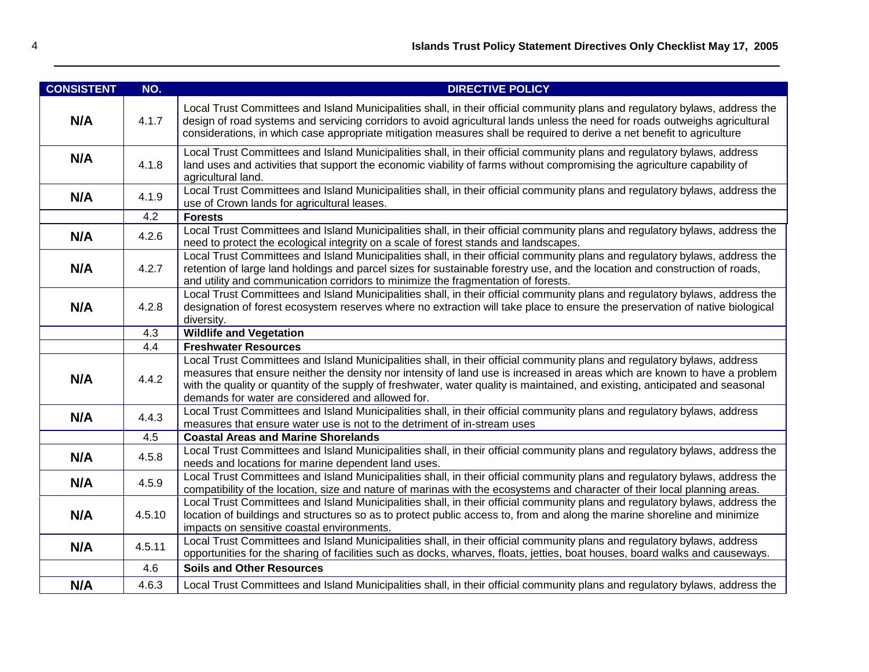| <b>CONSISTENT</b> | NO.                                                                                                                                                                                                                                                                                                                                                       | <b>DIRECTIVE POLICY</b>                                                                                                                                                                                                                                                                                                                                                                                                                      |  |  |  |  |  |
|-------------------|-----------------------------------------------------------------------------------------------------------------------------------------------------------------------------------------------------------------------------------------------------------------------------------------------------------------------------------------------------------|----------------------------------------------------------------------------------------------------------------------------------------------------------------------------------------------------------------------------------------------------------------------------------------------------------------------------------------------------------------------------------------------------------------------------------------------|--|--|--|--|--|
| N/A               | 4.1.7                                                                                                                                                                                                                                                                                                                                                     | Local Trust Committees and Island Municipalities shall, in their official community plans and regulatory bylaws, address the<br>design of road systems and servicing corridors to avoid agricultural lands unless the need for roads outweighs agricultural<br>considerations, in which case appropriate mitigation measures shall be required to derive a net benefit to agriculture                                                        |  |  |  |  |  |
| N/A               | 4.1.8                                                                                                                                                                                                                                                                                                                                                     | Local Trust Committees and Island Municipalities shall, in their official community plans and regulatory bylaws, address<br>land uses and activities that support the economic viability of farms without compromising the agriculture capability of<br>agricultural land.                                                                                                                                                                   |  |  |  |  |  |
| N/A               | 4.1.9                                                                                                                                                                                                                                                                                                                                                     | Local Trust Committees and Island Municipalities shall, in their official community plans and regulatory bylaws, address the<br>use of Crown lands for agricultural leases.                                                                                                                                                                                                                                                                  |  |  |  |  |  |
|                   | 4.2                                                                                                                                                                                                                                                                                                                                                       | <b>Forests</b>                                                                                                                                                                                                                                                                                                                                                                                                                               |  |  |  |  |  |
| N/A               | 4.2.6                                                                                                                                                                                                                                                                                                                                                     | Local Trust Committees and Island Municipalities shall, in their official community plans and regulatory bylaws, address the<br>need to protect the ecological integrity on a scale of forest stands and landscapes.                                                                                                                                                                                                                         |  |  |  |  |  |
| N/A               | Local Trust Committees and Island Municipalities shall, in their official community plans and regulatory bylaws, address the<br>4.2.7<br>retention of large land holdings and parcel sizes for sustainable forestry use, and the location and construction of roads,<br>and utility and communication corridors to minimize the fragmentation of forests. |                                                                                                                                                                                                                                                                                                                                                                                                                                              |  |  |  |  |  |
| N/A               | 4.2.8                                                                                                                                                                                                                                                                                                                                                     | Local Trust Committees and Island Municipalities shall, in their official community plans and regulatory bylaws, address the<br>designation of forest ecosystem reserves where no extraction will take place to ensure the preservation of native biological<br>diversity.                                                                                                                                                                   |  |  |  |  |  |
|                   | 4.3                                                                                                                                                                                                                                                                                                                                                       | <b>Wildlife and Vegetation</b>                                                                                                                                                                                                                                                                                                                                                                                                               |  |  |  |  |  |
|                   | 4.4                                                                                                                                                                                                                                                                                                                                                       | <b>Freshwater Resources</b>                                                                                                                                                                                                                                                                                                                                                                                                                  |  |  |  |  |  |
| N/A               | 4.4.2                                                                                                                                                                                                                                                                                                                                                     | Local Trust Committees and Island Municipalities shall, in their official community plans and regulatory bylaws, address<br>measures that ensure neither the density nor intensity of land use is increased in areas which are known to have a problem<br>with the quality or quantity of the supply of freshwater, water quality is maintained, and existing, anticipated and seasonal<br>demands for water are considered and allowed for. |  |  |  |  |  |
| N/A               | 4.4.3                                                                                                                                                                                                                                                                                                                                                     | Local Trust Committees and Island Municipalities shall, in their official community plans and regulatory bylaws, address<br>measures that ensure water use is not to the detriment of in-stream uses                                                                                                                                                                                                                                         |  |  |  |  |  |
|                   | 4.5                                                                                                                                                                                                                                                                                                                                                       | <b>Coastal Areas and Marine Shorelands</b>                                                                                                                                                                                                                                                                                                                                                                                                   |  |  |  |  |  |
| N/A               | 4.5.8                                                                                                                                                                                                                                                                                                                                                     | Local Trust Committees and Island Municipalities shall, in their official community plans and regulatory bylaws, address the<br>needs and locations for marine dependent land uses.                                                                                                                                                                                                                                                          |  |  |  |  |  |
| N/A               | Local Trust Committees and Island Municipalities shall, in their official community plans and regulatory bylaws, address the<br>4.5.9<br>compatibility of the location, size and nature of marinas with the ecosystems and character of their local planning areas.                                                                                       |                                                                                                                                                                                                                                                                                                                                                                                                                                              |  |  |  |  |  |
| N/A               | 4.5.10                                                                                                                                                                                                                                                                                                                                                    | Local Trust Committees and Island Municipalities shall, in their official community plans and regulatory bylaws, address the<br>location of buildings and structures so as to protect public access to, from and along the marine shoreline and minimize<br>impacts on sensitive coastal environments.                                                                                                                                       |  |  |  |  |  |
| N/A               | 4.5.11                                                                                                                                                                                                                                                                                                                                                    | Local Trust Committees and Island Municipalities shall, in their official community plans and regulatory bylaws, address<br>opportunities for the sharing of facilities such as docks, wharves, floats, jetties, boat houses, board walks and causeways.                                                                                                                                                                                     |  |  |  |  |  |
|                   | 4.6                                                                                                                                                                                                                                                                                                                                                       | <b>Soils and Other Resources</b>                                                                                                                                                                                                                                                                                                                                                                                                             |  |  |  |  |  |
| N/A               | 4.6.3                                                                                                                                                                                                                                                                                                                                                     | Local Trust Committees and Island Municipalities shall, in their official community plans and regulatory bylaws, address the                                                                                                                                                                                                                                                                                                                 |  |  |  |  |  |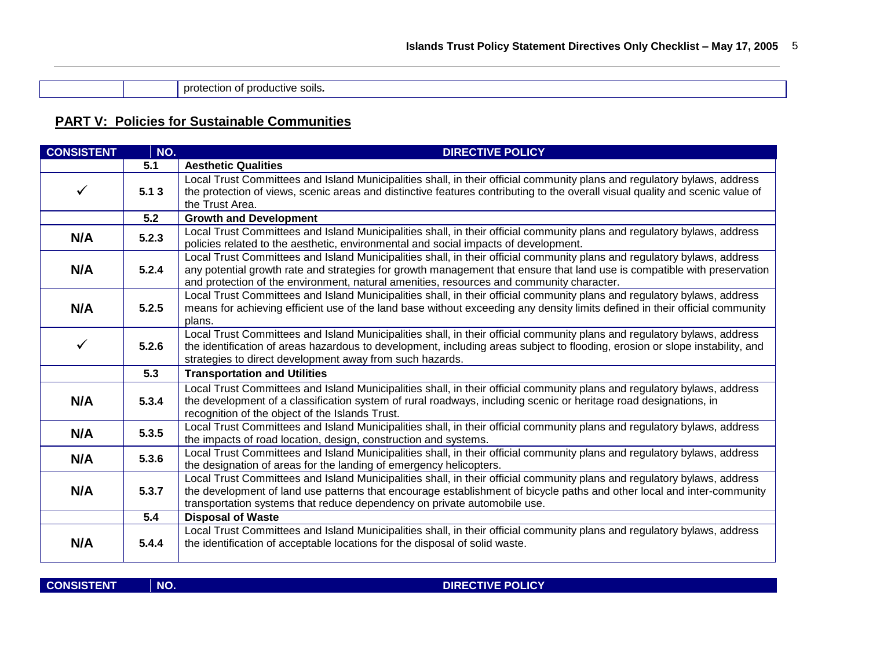protection of productive soils*.*

# **PART V: Policies for Sustainable Communities**

| <b>CONSISTENT</b>                       | NO.                                                                                                                                                                                                                                                                                                                                     | <b>DIRECTIVE POLICY</b>                                                                                                                                                                                                                                                                                                                          |  |  |  |  |
|-----------------------------------------|-----------------------------------------------------------------------------------------------------------------------------------------------------------------------------------------------------------------------------------------------------------------------------------------------------------------------------------------|--------------------------------------------------------------------------------------------------------------------------------------------------------------------------------------------------------------------------------------------------------------------------------------------------------------------------------------------------|--|--|--|--|
|                                         | 5.1                                                                                                                                                                                                                                                                                                                                     | <b>Aesthetic Qualities</b>                                                                                                                                                                                                                                                                                                                       |  |  |  |  |
| $\checkmark$<br>5.13<br>the Trust Area. |                                                                                                                                                                                                                                                                                                                                         | Local Trust Committees and Island Municipalities shall, in their official community plans and regulatory bylaws, address<br>the protection of views, scenic areas and distinctive features contributing to the overall visual quality and scenic value of                                                                                        |  |  |  |  |
|                                         | 5.2                                                                                                                                                                                                                                                                                                                                     | <b>Growth and Development</b>                                                                                                                                                                                                                                                                                                                    |  |  |  |  |
| N/A                                     | 5.2.3                                                                                                                                                                                                                                                                                                                                   | Local Trust Committees and Island Municipalities shall, in their official community plans and regulatory bylaws, address<br>policies related to the aesthetic, environmental and social impacts of development.                                                                                                                                  |  |  |  |  |
| N/A                                     | 5.2.4                                                                                                                                                                                                                                                                                                                                   | Local Trust Committees and Island Municipalities shall, in their official community plans and regulatory bylaws, address<br>any potential growth rate and strategies for growth management that ensure that land use is compatible with preservation<br>and protection of the environment, natural amenities, resources and community character. |  |  |  |  |
| N/A                                     | 5.2.5                                                                                                                                                                                                                                                                                                                                   | Local Trust Committees and Island Municipalities shall, in their official community plans and regulatory bylaws, address<br>means for achieving efficient use of the land base without exceeding any density limits defined in their official community<br>plans.                                                                                |  |  |  |  |
| $\checkmark$                            | 5.2.6                                                                                                                                                                                                                                                                                                                                   | Local Trust Committees and Island Municipalities shall, in their official community plans and regulatory bylaws, address<br>the identification of areas hazardous to development, including areas subject to flooding, erosion or slope instability, and<br>strategies to direct development away from such hazards.                             |  |  |  |  |
|                                         | 5.3                                                                                                                                                                                                                                                                                                                                     | <b>Transportation and Utilities</b>                                                                                                                                                                                                                                                                                                              |  |  |  |  |
| N/A                                     | 5.3.4                                                                                                                                                                                                                                                                                                                                   | Local Trust Committees and Island Municipalities shall, in their official community plans and regulatory bylaws, address<br>the development of a classification system of rural roadways, including scenic or heritage road designations, in<br>recognition of the object of the Islands Trust.                                                  |  |  |  |  |
| N/A                                     | 5.3.5                                                                                                                                                                                                                                                                                                                                   | Local Trust Committees and Island Municipalities shall, in their official community plans and regulatory bylaws, address<br>the impacts of road location, design, construction and systems.                                                                                                                                                      |  |  |  |  |
| N/A                                     | 5.3.6                                                                                                                                                                                                                                                                                                                                   | Local Trust Committees and Island Municipalities shall, in their official community plans and regulatory bylaws, address<br>the designation of areas for the landing of emergency helicopters.                                                                                                                                                   |  |  |  |  |
| N/A                                     | Local Trust Committees and Island Municipalities shall, in their official community plans and regulatory bylaws, address<br>5.3.7<br>the development of land use patterns that encourage establishment of bicycle paths and other local and inter-community<br>transportation systems that reduce dependency on private automobile use. |                                                                                                                                                                                                                                                                                                                                                  |  |  |  |  |
|                                         | 5.4                                                                                                                                                                                                                                                                                                                                     | <b>Disposal of Waste</b>                                                                                                                                                                                                                                                                                                                         |  |  |  |  |
| N/A                                     | 5.4.4                                                                                                                                                                                                                                                                                                                                   | Local Trust Committees and Island Municipalities shall, in their official community plans and regulatory bylaws, address<br>the identification of acceptable locations for the disposal of solid waste.                                                                                                                                          |  |  |  |  |

**CONSISTENT NO.** NO. 2008 POLICY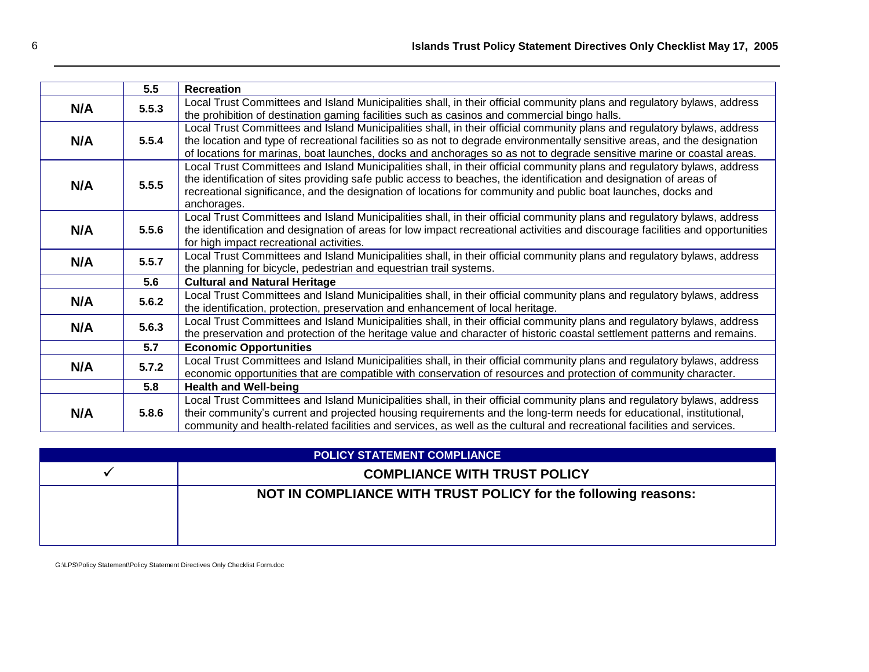|     | 5.5                                                                                                                                                                                                     | <b>Recreation</b>                                                                                                                                                                                                                                                                                                                                                               |  |  |  |  |
|-----|---------------------------------------------------------------------------------------------------------------------------------------------------------------------------------------------------------|---------------------------------------------------------------------------------------------------------------------------------------------------------------------------------------------------------------------------------------------------------------------------------------------------------------------------------------------------------------------------------|--|--|--|--|
| N/A | 5.5.3                                                                                                                                                                                                   | Local Trust Committees and Island Municipalities shall, in their official community plans and regulatory bylaws, address<br>the prohibition of destination gaming facilities such as casinos and commercial bingo halls.                                                                                                                                                        |  |  |  |  |
| N/A | 5.5.4                                                                                                                                                                                                   | Local Trust Committees and Island Municipalities shall, in their official community plans and regulatory bylaws, address<br>the location and type of recreational facilities so as not to degrade environmentally sensitive areas, and the designation<br>of locations for marinas, boat launches, docks and anchorages so as not to degrade sensitive marine or coastal areas. |  |  |  |  |
| N/A | 5.5.5                                                                                                                                                                                                   | Local Trust Committees and Island Municipalities shall, in their official community plans and regulatory bylaws, address<br>the identification of sites providing safe public access to beaches, the identification and designation of areas of<br>recreational significance, and the designation of locations for community and public boat launches, docks and<br>anchorages. |  |  |  |  |
| N/A | 5.5.6                                                                                                                                                                                                   | Local Trust Committees and Island Municipalities shall, in their official community plans and regulatory bylaws, address<br>the identification and designation of areas for low impact recreational activities and discourage facilities and opportunities<br>for high impact recreational activities.                                                                          |  |  |  |  |
| N/A | Local Trust Committees and Island Municipalities shall, in their official community plans and regulatory bylaws, address<br>5.5.7<br>the planning for bicycle, pedestrian and equestrian trail systems. |                                                                                                                                                                                                                                                                                                                                                                                 |  |  |  |  |
|     | 5.6                                                                                                                                                                                                     | <b>Cultural and Natural Heritage</b>                                                                                                                                                                                                                                                                                                                                            |  |  |  |  |
| N/A | 5.6.2                                                                                                                                                                                                   | Local Trust Committees and Island Municipalities shall, in their official community plans and regulatory bylaws, address<br>the identification, protection, preservation and enhancement of local heritage.                                                                                                                                                                     |  |  |  |  |
| N/A | 5.6.3                                                                                                                                                                                                   | Local Trust Committees and Island Municipalities shall, in their official community plans and regulatory bylaws, address<br>the preservation and protection of the heritage value and character of historic coastal settlement patterns and remains.                                                                                                                            |  |  |  |  |
|     | 5.7                                                                                                                                                                                                     | <b>Economic Opportunities</b>                                                                                                                                                                                                                                                                                                                                                   |  |  |  |  |
| N/A | 5.7.2                                                                                                                                                                                                   | Local Trust Committees and Island Municipalities shall, in their official community plans and regulatory bylaws, address<br>economic opportunities that are compatible with conservation of resources and protection of community character.                                                                                                                                    |  |  |  |  |
|     | 5.8                                                                                                                                                                                                     | <b>Health and Well-being</b>                                                                                                                                                                                                                                                                                                                                                    |  |  |  |  |
| N/A | 5.8.6                                                                                                                                                                                                   | Local Trust Committees and Island Municipalities shall, in their official community plans and regulatory bylaws, address<br>their community's current and projected housing requirements and the long-term needs for educational, institutional,<br>community and health-related facilities and services, as well as the cultural and recreational facilities and services.     |  |  |  |  |

| <b>POLICY STATEMENT COMPLIANCE</b>  |                                                                |  |  |
|-------------------------------------|----------------------------------------------------------------|--|--|
| <b>COMPLIANCE WITH TRUST POLICY</b> |                                                                |  |  |
|                                     | NOT IN COMPLIANCE WITH TRUST POLICY for the following reasons: |  |  |

G:\LPS\Policy Statement\Policy Statement Directives Only Checklist Form.doc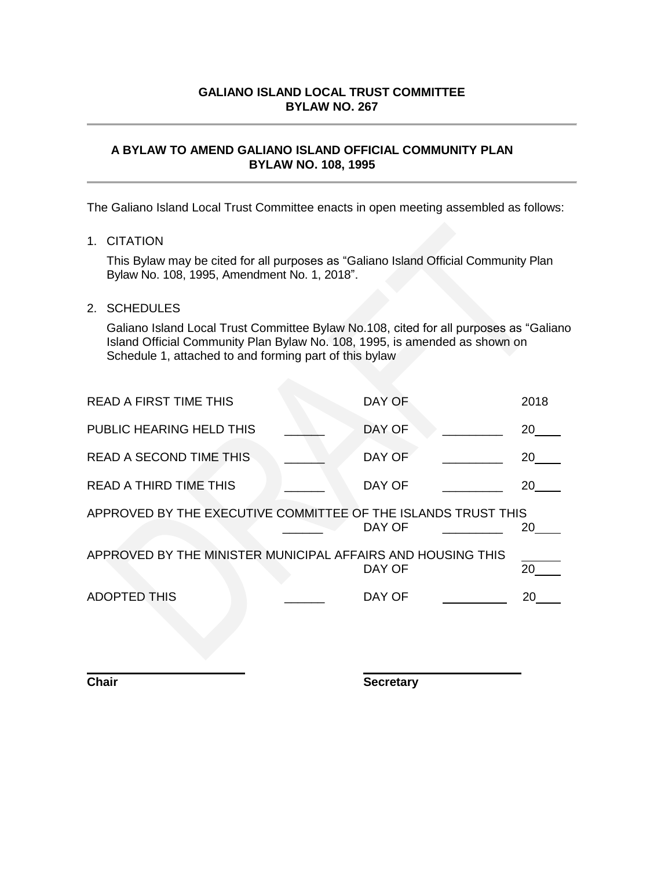## **A BYLAW TO AMEND GALIANO ISLAND OFFICIAL COMMUNITY PLAN BYLAW NO. 108, 1995**

The Galiano Island Local Trust Committee enacts in open meeting assembled as follows:

# 1. CITATION

This Bylaw may be cited for all purposes as "Galiano Island Official Community Plan Bylaw No. 108, 1995, Amendment No. 1, 2018".

## 2. SCHEDULES

Galiano Island Local Trust Committee Bylaw No.108, cited for all purposes as "Galiano Island Official Community Plan Bylaw No. 108, 1995, is amended as shown on Schedule 1, attached to and forming part of this bylaw

| <b>READ A FIRST TIME THIS</b>                                                 | DAY OF | 2018 |  |  |  |
|-------------------------------------------------------------------------------|--------|------|--|--|--|
| PUBLIC HEARING HELD THIS                                                      | DAY OF | 20   |  |  |  |
| <b>READ A SECOND TIME THIS</b>                                                | DAY OF | 20   |  |  |  |
| <b>READ A THIRD TIME THIS</b>                                                 | DAY OF | 20   |  |  |  |
| APPROVED BY THE EXECUTIVE COMMITTEE OF THE ISLANDS TRUST THIS<br>DAY OF<br>20 |        |      |  |  |  |
| APPROVED BY THE MINISTER MUNICIPAL AFFAIRS AND HOUSING THIS                   | DAY OF | 20   |  |  |  |
| <b>ADOPTED THIS</b>                                                           | DAY OF | 20   |  |  |  |
|                                                                               |        |      |  |  |  |

**Chair Secretary**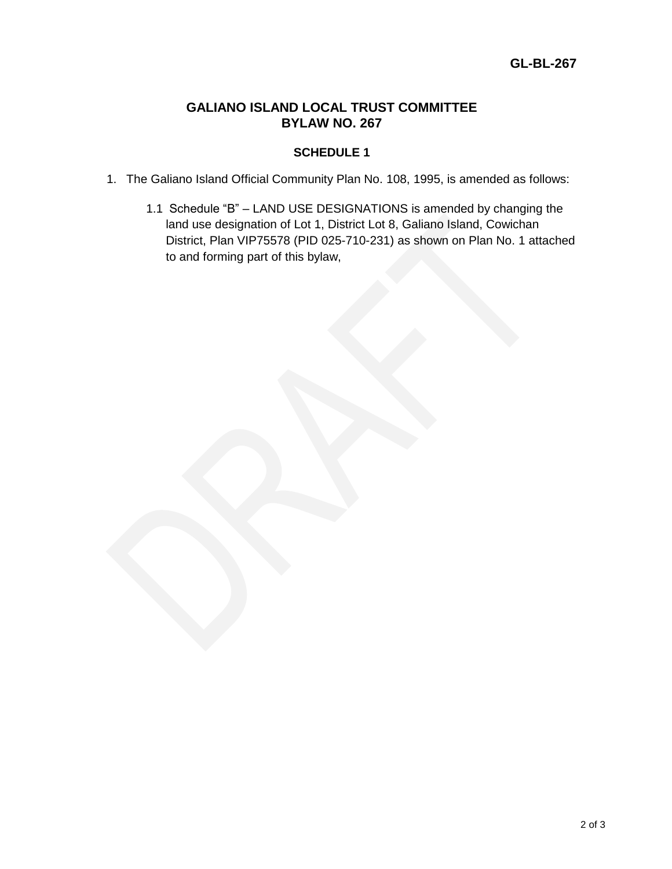# **SCHEDULE 1**

- 1. The Galiano Island Official Community Plan No. 108, 1995, is amended as follows:
	- 1.1 Schedule "B" LAND USE DESIGNATIONS is amended by changing the land use designation of Lot 1, District Lot 8, Galiano Island, Cowichan District, Plan VIP75578 (PID 025-710-231) as shown on Plan No. 1 attached to and forming part of this bylaw,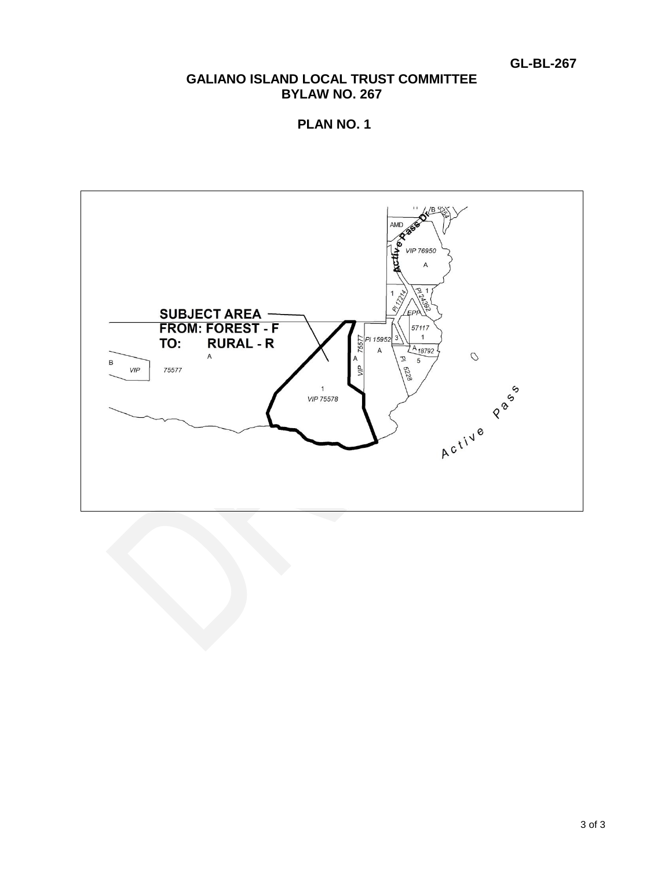**GL-BL-267**

# **GALIANO ISLAND LOCAL TRUST COMMITTEE BYLAW NO. 267**

**PLAN NO. 1**

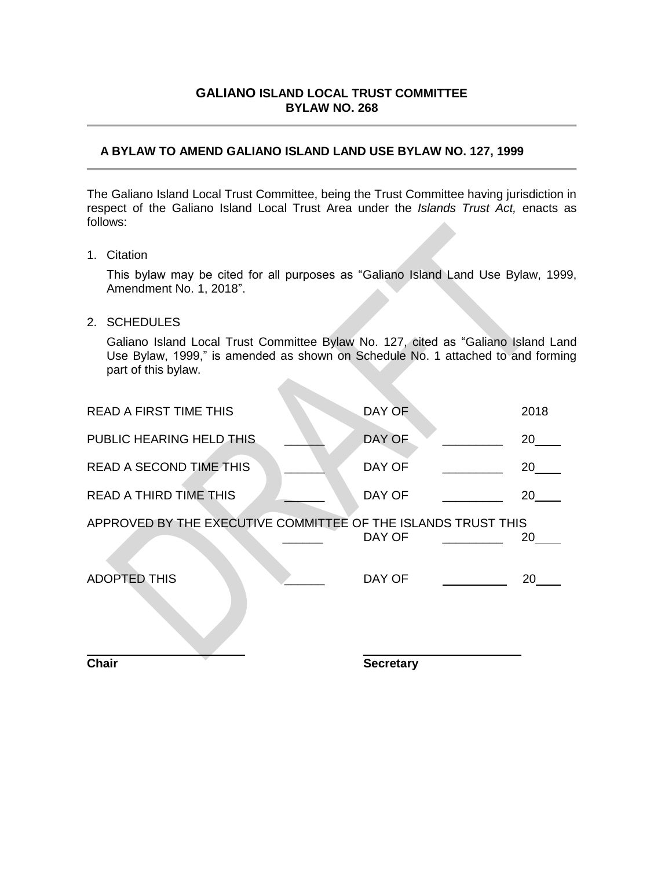# **A BYLAW TO AMEND GALIANO ISLAND LAND USE BYLAW NO. 127, 1999**

The Galiano Island Local Trust Committee, being the Trust Committee having jurisdiction in respect of the Galiano Island Local Trust Area under the *Islands Trust Act,* enacts as follows:

1. Citation

This bylaw may be cited for all purposes as "Galiano Island Land Use Bylaw, 1999, Amendment No. 1, 2018".

2. SCHEDULES

Galiano Island Local Trust Committee Bylaw No. 127, cited as "Galiano Island Land Use Bylaw, 1999," is amended as shown on Schedule No. 1 attached to and forming part of this bylaw.

| <b>Chair</b>                                                  | <b>Secretary</b> |      |
|---------------------------------------------------------------|------------------|------|
|                                                               |                  |      |
| <b>ADOPTED THIS</b>                                           | DAY OF           | 20   |
| APPROVED BY THE EXECUTIVE COMMITTEE OF THE ISLANDS TRUST THIS | DAY OF           | 20   |
| <b>READ A THIRD TIME THIS</b>                                 | DAY OF           | 20   |
| READ A SECOND TIME THIS                                       | DAY OF           | 20   |
| PUBLIC HEARING HELD THIS                                      | DAY OF           | 20   |
| <b>READ A FIRST TIME THIS</b>                                 | DAY OF           | 2018 |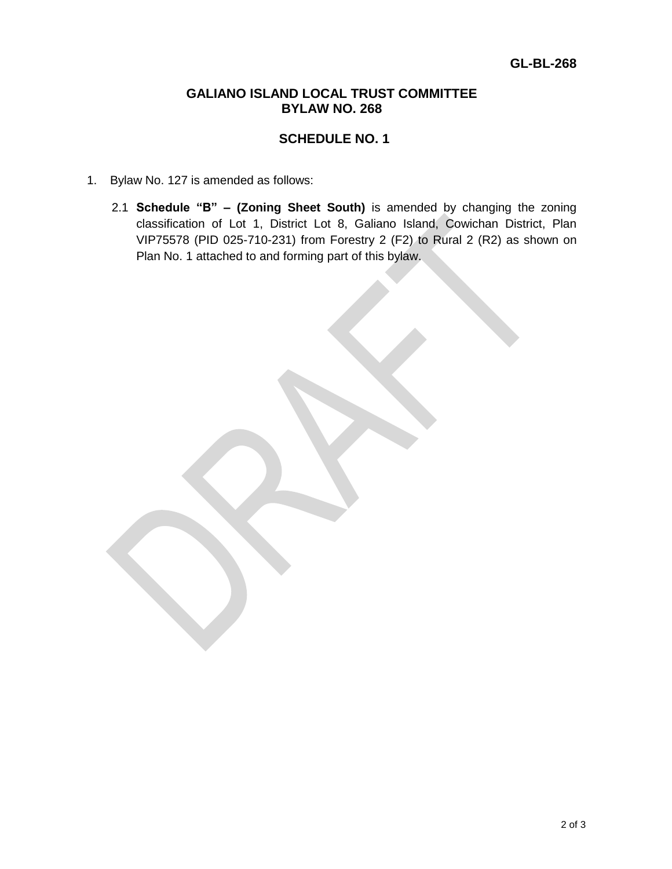# **SCHEDULE NO. 1**

- 1. Bylaw No. 127 is amended as follows:
	- 2.1 **Schedule "B" – (Zoning Sheet South)** is amended by changing the zoning classification of Lot 1, District Lot 8, Galiano Island, Cowichan District, Plan VIP75578 (PID 025-710-231) from Forestry 2 (F2) to Rural 2 (R2) as shown on Plan No. 1 attached to and forming part of this bylaw.

2 of 3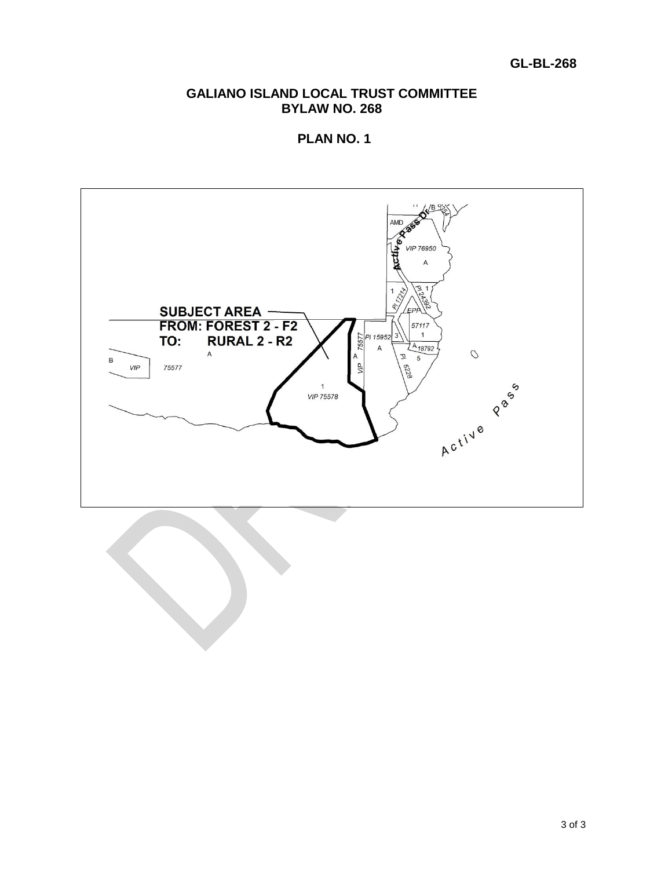# **GL-BL-268**

# **GALIANO ISLAND LOCAL TRUST COMMITTEE BYLAW NO. 268**

**PLAN NO. 1**